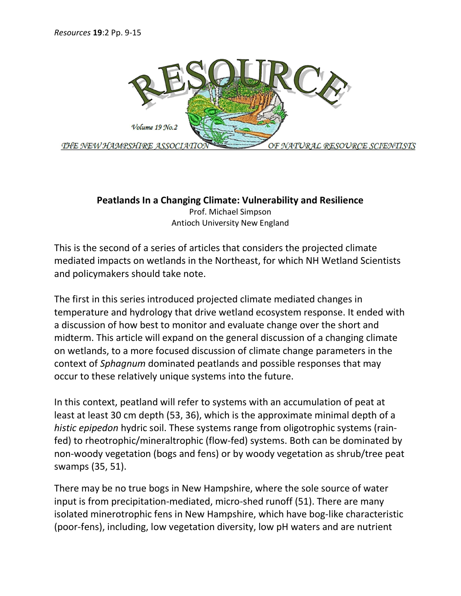

## Peatlands In a Changing Climate: Vulnerability and Resilience

Prof. Michael Simpson Antioch University New England

This is the second of a series of articles that considers the projected climate mediated impacts on wetlands in the Northeast, for which NH Wetland Scientists and policymakers should take note.

The first in this series introduced projected climate mediated changes in temperature and hydrology that drive wetland ecosystem response. It ended with a discussion of how best to monitor and evaluate change over the short and midterm. This article will expand on the general discussion of a changing climate on wetlands, to a more focused discussion of climate change parameters in the context of Sphagnum dominated peatlands and possible responses that may occur to these relatively unique systems into the future.

In this context, peatland will refer to systems with an accumulation of peat at least at least 30 cm depth (53, 36), which is the approximate minimal depth of a histic epipedon hydric soil. These systems range from oligotrophic systems (rainfed) to rheotrophic/mineraltrophic (flow-fed) systems. Both can be dominated by non-woody vegetation (bogs and fens) or by woody vegetation as shrub/tree peat swamps (35, 51).

There may be no true bogs in New Hampshire, where the sole source of water input is from precipitation-mediated, micro-shed runoff (51). There are many isolated minerotrophic fens in New Hampshire, which have bog-like characteristic (poor-fens), including, low vegetation diversity, low pH waters and are nutrient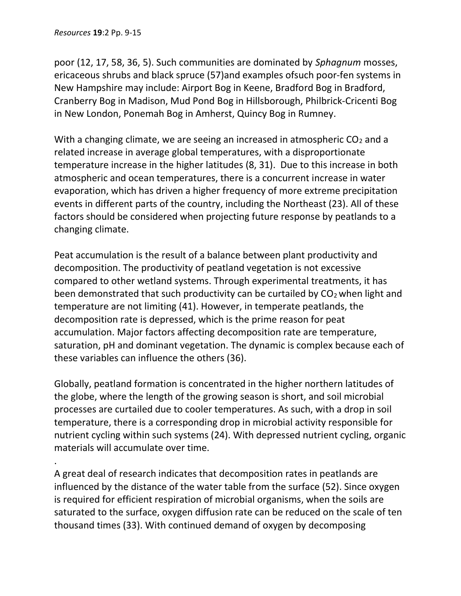.

poor (12, 17, 58, 36, 5). Such communities are dominated by Sphagnum mosses, ericaceous shrubs and black spruce (57)and examples ofsuch poor-fen systems in New Hampshire may include: Airport Bog in Keene, Bradford Bog in Bradford, Cranberry Bog in Madison, Mud Pond Bog in Hillsborough, Philbrick-Cricenti Bog in New London, Ponemah Bog in Amherst, Quincy Bog in Rumney.

With a changing climate, we are seeing an increased in atmospheric  $CO<sub>2</sub>$  and a related increase in average global temperatures, with a disproportionate temperature increase in the higher latitudes (8, 31). Due to this increase in both atmospheric and ocean temperatures, there is a concurrent increase in water evaporation, which has driven a higher frequency of more extreme precipitation events in different parts of the country, including the Northeast (23). All of these factors should be considered when projecting future response by peatlands to a changing climate.

Peat accumulation is the result of a balance between plant productivity and decomposition. The productivity of peatland vegetation is not excessive compared to other wetland systems. Through experimental treatments, it has been demonstrated that such productivity can be curtailed by  $CO<sub>2</sub>$  when light and temperature are not limiting (41). However, in temperate peatlands, the decomposition rate is depressed, which is the prime reason for peat accumulation. Major factors affecting decomposition rate are temperature, saturation, pH and dominant vegetation. The dynamic is complex because each of these variables can influence the others (36).

Globally, peatland formation is concentrated in the higher northern latitudes of the globe, where the length of the growing season is short, and soil microbial processes are curtailed due to cooler temperatures. As such, with a drop in soil temperature, there is a corresponding drop in microbial activity responsible for nutrient cycling within such systems (24). With depressed nutrient cycling, organic materials will accumulate over time.

A great deal of research indicates that decomposition rates in peatlands are influenced by the distance of the water table from the surface (52). Since oxygen is required for efficient respiration of microbial organisms, when the soils are saturated to the surface, oxygen diffusion rate can be reduced on the scale of ten thousand times (33). With continued demand of oxygen by decomposing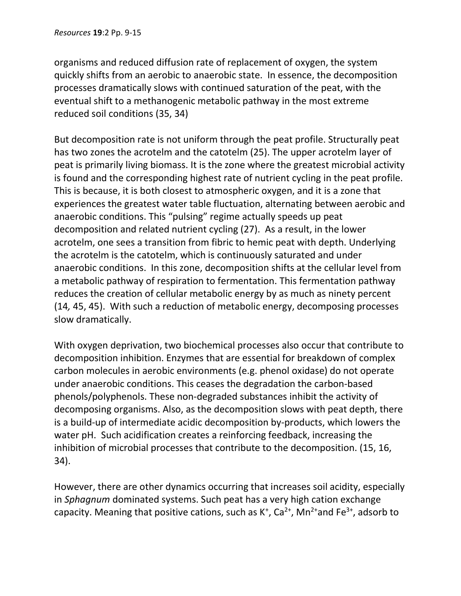organisms and reduced diffusion rate of replacement of oxygen, the system quickly shifts from an aerobic to anaerobic state. In essence, the decomposition processes dramatically slows with continued saturation of the peat, with the eventual shift to a methanogenic metabolic pathway in the most extreme reduced soil conditions (35, 34)

But decomposition rate is not uniform through the peat profile. Structurally peat has two zones the acrotelm and the catotelm (25). The upper acrotelm layer of peat is primarily living biomass. It is the zone where the greatest microbial activity is found and the corresponding highest rate of nutrient cycling in the peat profile. This is because, it is both closest to atmospheric oxygen, and it is a zone that experiences the greatest water table fluctuation, alternating between aerobic and anaerobic conditions. This "pulsing" regime actually speeds up peat decomposition and related nutrient cycling (27). As a result, in the lower acrotelm, one sees a transition from fibric to hemic peat with depth. Underlying the acrotelm is the catotelm, which is continuously saturated and under anaerobic conditions. In this zone, decomposition shifts at the cellular level from a metabolic pathway of respiration to fermentation. This fermentation pathway reduces the creation of cellular metabolic energy by as much as ninety percent (14, 45, 45). With such a reduction of metabolic energy, decomposing processes slow dramatically.

With oxygen deprivation, two biochemical processes also occur that contribute to decomposition inhibition. Enzymes that are essential for breakdown of complex carbon molecules in aerobic environments (e.g. phenol oxidase) do not operate under anaerobic conditions. This ceases the degradation the carbon-based phenols/polyphenols. These non-degraded substances inhibit the activity of decomposing organisms. Also, as the decomposition slows with peat depth, there is a build-up of intermediate acidic decomposition by-products, which lowers the water pH. Such acidification creates a reinforcing feedback, increasing the inhibition of microbial processes that contribute to the decomposition. (15, 16, 34).

However, there are other dynamics occurring that increases soil acidity, especially in Sphagnum dominated systems. Such peat has a very high cation exchange capacity. Meaning that positive cations, such as  $K^+$ ,  $Ca^{2+}$ , Mn<sup>2+</sup>and Fe<sup>3+</sup>, adsorb to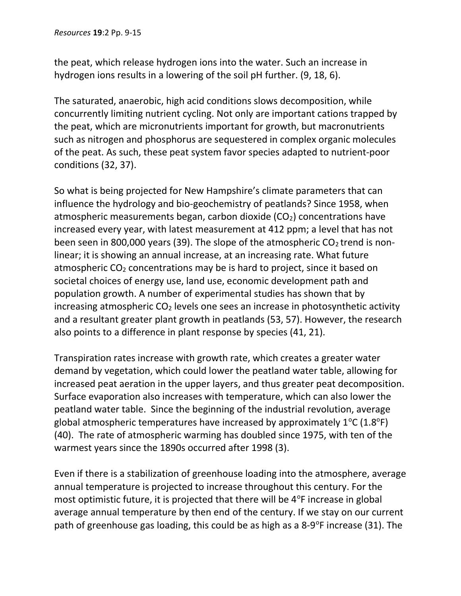the peat, which release hydrogen ions into the water. Such an increase in hydrogen ions results in a lowering of the soil pH further. (9, 18, 6).

The saturated, anaerobic, high acid conditions slows decomposition, while concurrently limiting nutrient cycling. Not only are important cations trapped by the peat, which are micronutrients important for growth, but macronutrients such as nitrogen and phosphorus are sequestered in complex organic molecules of the peat. As such, these peat system favor species adapted to nutrient-poor conditions (32, 37).

So what is being projected for New Hampshire's climate parameters that can influence the hydrology and bio-geochemistry of peatlands? Since 1958, when atmospheric measurements began, carbon dioxide  $(CO<sub>2</sub>)$  concentrations have increased every year, with latest measurement at 412 ppm; a level that has not been seen in 800,000 years (39). The slope of the atmospheric  $CO<sub>2</sub>$  trend is nonlinear; it is showing an annual increase, at an increasing rate. What future atmospheric CO<sub>2</sub> concentrations may be is hard to project, since it based on societal choices of energy use, land use, economic development path and population growth. A number of experimental studies has shown that by increasing atmospheric  $CO<sub>2</sub>$  levels one sees an increase in photosynthetic activity and a resultant greater plant growth in peatlands (53, 57). However, the research also points to a difference in plant response by species (41, 21).

Transpiration rates increase with growth rate, which creates a greater water demand by vegetation, which could lower the peatland water table, allowing for increased peat aeration in the upper layers, and thus greater peat decomposition. Surface evaporation also increases with temperature, which can also lower the peatland water table. Since the beginning of the industrial revolution, average global atmospheric temperatures have increased by approximately  $1^{\circ}C$  (1.8 $^{\circ}F$ ) (40). The rate of atmospheric warming has doubled since 1975, with ten of the warmest years since the 1890s occurred after 1998 (3).

Even if there is a stabilization of greenhouse loading into the atmosphere, average annual temperature is projected to increase throughout this century. For the most optimistic future, it is projected that there will be  $4^{\circ}F$  increase in global average annual temperature by then end of the century. If we stay on our current path of greenhouse gas loading, this could be as high as a  $8-9^{\circ}F$  increase (31). The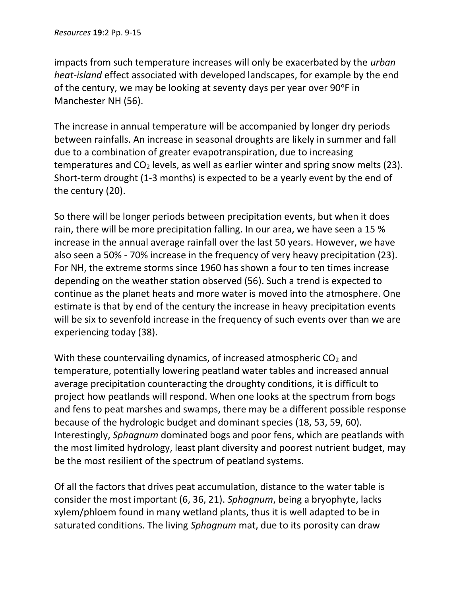impacts from such temperature increases will only be exacerbated by the urban heat-island effect associated with developed landscapes, for example by the end of the century, we may be looking at seventy days per year over  $90^{\circ}$ F in Manchester NH (56).

The increase in annual temperature will be accompanied by longer dry periods between rainfalls. An increase in seasonal droughts are likely in summer and fall due to a combination of greater evapotranspiration, due to increasing temperatures and  $CO<sub>2</sub>$  levels, as well as earlier winter and spring snow melts (23). Short-term drought (1-3 months) is expected to be a yearly event by the end of the century (20).

So there will be longer periods between precipitation events, but when it does rain, there will be more precipitation falling. In our area, we have seen a 15 % increase in the annual average rainfall over the last 50 years. However, we have also seen a 50% - 70% increase in the frequency of very heavy precipitation (23). For NH, the extreme storms since 1960 has shown a four to ten times increase depending on the weather station observed (56). Such a trend is expected to continue as the planet heats and more water is moved into the atmosphere. One estimate is that by end of the century the increase in heavy precipitation events will be six to sevenfold increase in the frequency of such events over than we are experiencing today (38).

With these countervailing dynamics, of increased atmospheric  $CO<sub>2</sub>$  and temperature, potentially lowering peatland water tables and increased annual average precipitation counteracting the droughty conditions, it is difficult to project how peatlands will respond. When one looks at the spectrum from bogs and fens to peat marshes and swamps, there may be a different possible response because of the hydrologic budget and dominant species (18, 53, 59, 60). Interestingly, Sphagnum dominated bogs and poor fens, which are peatlands with the most limited hydrology, least plant diversity and poorest nutrient budget, may be the most resilient of the spectrum of peatland systems.

Of all the factors that drives peat accumulation, distance to the water table is consider the most important (6, 36, 21). Sphagnum, being a bryophyte, lacks xylem/phloem found in many wetland plants, thus it is well adapted to be in saturated conditions. The living Sphagnum mat, due to its porosity can draw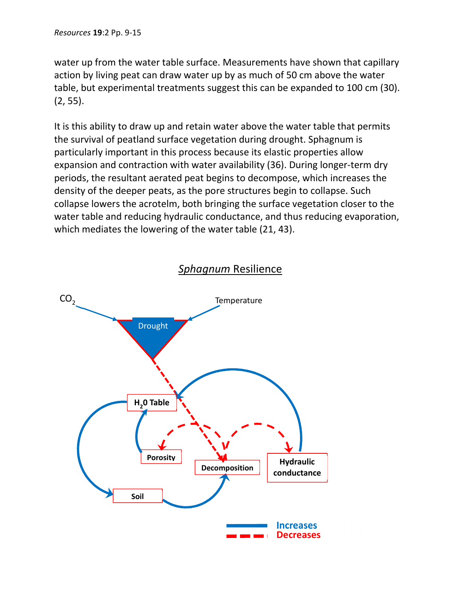water up from the water table surface. Measurements have shown that capillary action by living peat can draw water up by as much of 50 cm above the water table, but experimental treatments suggest this can be expanded to 100 cm (30). (2, 55).

It is this ability to draw up and retain water above the water table that permits the survival of peatland surface vegetation during drought. Sphagnum is particularly important in this process because its elastic properties allow expansion and contraction with water availability (36). During longer-term dry periods, the resultant aerated peat begins to decompose, which increases the density of the deeper peats, as the pore structures begin to collapse. Such collapse lowers the acrotelm, both bringing the surface vegetation closer to the water table and reducing hydraulic conductance, and thus reducing evaporation, which mediates the lowering of the water table (21, 43).



## Sphagnum Resilience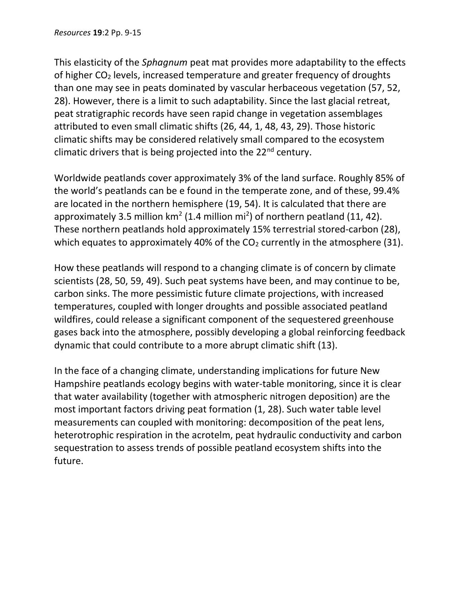This elasticity of the Sphagnum peat mat provides more adaptability to the effects of higher CO2 levels, increased temperature and greater frequency of droughts than one may see in peats dominated by vascular herbaceous vegetation (57, 52, 28). However, there is a limit to such adaptability. Since the last glacial retreat, peat stratigraphic records have seen rapid change in vegetation assemblages attributed to even small climatic shifts (26, 44, 1, 48, 43, 29). Those historic climatic shifts may be considered relatively small compared to the ecosystem climatic drivers that is being projected into the  $22<sup>nd</sup>$  century.

Worldwide peatlands cover approximately 3% of the land surface. Roughly 85% of the world's peatlands can be e found in the temperate zone, and of these, 99.4% are located in the northern hemisphere (19, 54). It is calculated that there are approximately 3.5 million  $km^2$  (1.4 million mi<sup>2</sup>) of northern peatland (11, 42). These northern peatlands hold approximately 15% terrestrial stored-carbon (28), which equates to approximately 40% of the  $CO<sub>2</sub>$  currently in the atmosphere (31).

How these peatlands will respond to a changing climate is of concern by climate scientists (28, 50, 59, 49). Such peat systems have been, and may continue to be, carbon sinks. The more pessimistic future climate projections, with increased temperatures, coupled with longer droughts and possible associated peatland wildfires, could release a significant component of the sequestered greenhouse gases back into the atmosphere, possibly developing a global reinforcing feedback dynamic that could contribute to a more abrupt climatic shift (13).

In the face of a changing climate, understanding implications for future New Hampshire peatlands ecology begins with water-table monitoring, since it is clear that water availability (together with atmospheric nitrogen deposition) are the most important factors driving peat formation (1, 28). Such water table level measurements can coupled with monitoring: decomposition of the peat lens, heterotrophic respiration in the acrotelm, peat hydraulic conductivity and carbon sequestration to assess trends of possible peatland ecosystem shifts into the future.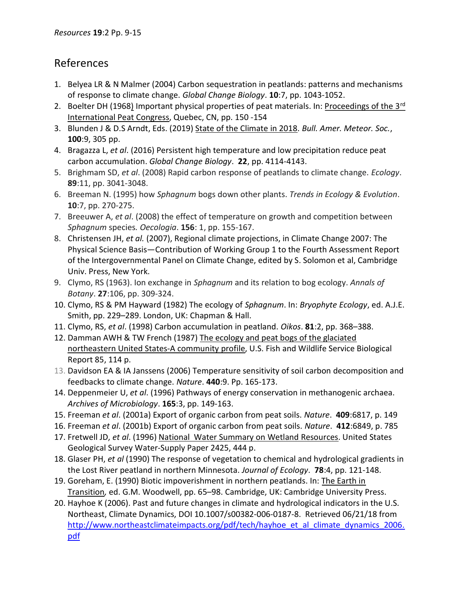## References

- 1. Belyea LR & N Malmer (2004) Carbon sequestration in peatlands: patterns and mechanisms of response to climate change. Global Change Biology. 10:7, pp. 1043-1052.
- 2. Boelter DH (1968) Important physical properties of peat materials. In: Proceedings of the 3<sup>rd</sup> International Peat Congress, Quebec, CN, pp. 150 -154
- 3. Blunden J & D.S Arndt, Eds. (2019) State of the Climate in 2018. Bull. Amer. Meteor. Soc., 100:9, 305 pp.
- 4. Bragazza L, et al. (2016) Persistent high temperature and low precipitation reduce peat carbon accumulation. Global Change Biology. 22, pp. 4114-4143.
- 5. Brighmam SD, et al. (2008) Rapid carbon response of peatlands to climate change. Ecology. 89:11, pp. 3041-3048.
- 6. Breeman N. (1995) how Sphagnum bogs down other plants. Trends in Ecology & Evolution. 10:7, pp. 270-275.
- 7. Breeuwer A, et al. (2008) the effect of temperature on growth and competition between Sphagnum species. Oecologia. 156: 1, pp. 155-167.
- 8. Christensen JH, et al. (2007), Regional climate projections, in Climate Change 2007: The Physical Science Basis—Contribution of Working Group 1 to the Fourth Assessment Report of the Intergovernmental Panel on Climate Change, edited by S. Solomon et al, Cambridge Univ. Press, New York.
- 9. Clymo, RS (1963). Ion exchange in Sphagnum and its relation to bog ecology. Annals of Botany. 27:106, pp. 309-324.
- 10. Clymo, RS & PM Hayward (1982) The ecology of Sphagnum. In: Bryophyte Ecology, ed. A.J.E. Smith, pp. 229–289. London, UK: Chapman & Hall.
- 11. Clymo, RS, et al. (1998) Carbon accumulation in peatland. Oikos. 81:2, pp. 368–388.
- 12. Damman AWH & TW French (1987) The ecology and peat bogs of the glaciated northeastern United States-A community profile, U.S. Fish and Wildlife Service Biological Report 85, 114 p.
- 13. Davidson EA & IA Janssens (2006) Temperature sensitivity of soil carbon decomposition and feedbacks to climate change. Nature. 440:9. Pp. 165-173.
- 14. Deppenmeier U, et al. (1996) Pathways of energy conservation in methanogenic archaea. Archives of Microbiology. 165:3, pp. 149-163.
- 15. Freeman et al. (2001a) Export of organic carbon from peat soils. Nature. 409:6817, p. 149
- 16. Freeman et al. (2001b) Export of organic carbon from peat soils. Nature. 412:6849, p. 785
- 17. Fretwell JD, et al. (1996) National Water Summary on Wetland Resources. United States Geological Survey Water-Supply Paper 2425, 444 p.
- 18. Glaser PH, et al (1990) The response of vegetation to chemical and hydrological gradients in the Lost River peatland in northern Minnesota. Journal of Ecology. 78:4, pp. 121-148.
- 19. Goreham, E. (1990) Biotic impoverishment in northern peatlands. In: The Earth in Transition, ed. G.M. Woodwell, pp. 65–98. Cambridge, UK: Cambridge University Press.
- 20. Hayhoe K (2006). Past and future changes in climate and hydrological indicators in the U.S. Northeast, Climate Dynamics, DOI 10.1007/s00382-006-0187-8. Retrieved 06/21/18 from http://www.northeastclimateimpacts.org/pdf/tech/hayhoe\_et\_al\_climate\_dynamics\_2006. pdf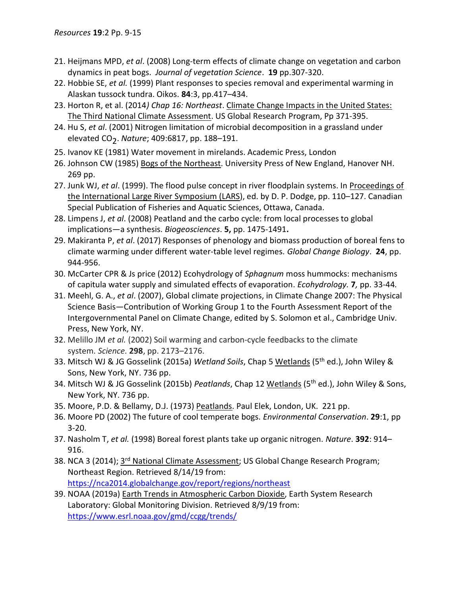- 21. Heijmans MPD, et al. (2008) Long-term effects of climate change on vegetation and carbon dynamics in peat bogs. Journal of vegetation Science. 19 pp.307-320.
- 22. Hobbie SE, et al. (1999) Plant responses to species removal and experimental warming in Alaskan tussock tundra. Oikos. 84:3, pp.417–434.
- 23. Horton R, et al. (2014) Chap 16: Northeast. Climate Change Impacts in the United States: The Third National Climate Assessment. US Global Research Program, Pp 371-395.
- 24. Hu S, et al. (2001) Nitrogen limitation of microbial decomposition in a grassland under elevated CO<sub>2</sub>. Nature; 409:6817, pp. 188–191.
- 25. Ivanov KE (1981) Water movement in mirelands. Academic Press, London
- 26. Johnson CW (1985) Bogs of the Northeast. University Press of New England, Hanover NH. 269 pp.
- 27. Junk WJ, et al. (1999). The flood pulse concept in river floodplain systems. In Proceedings of the International Large River Symposium (LARS), ed. by D. P. Dodge, pp. 110–127. Canadian Special Publication of Fisheries and Aquatic Sciences, Ottawa, Canada.
- 28. Limpens J, et al. (2008) Peatland and the carbo cycle: from local processes to global implications—a synthesis. Biogeosciences. 5, pp. 1475-1491.
- 29. Makiranta P, et al. (2017) Responses of phenology and biomass production of boreal fens to climate warming under different water-table level regimes. Global Change Biology. 24, pp. 944-956.
- 30. McCarter CPR & Js price (2012) Ecohydrology of Sphagnum moss hummocks: mechanisms of capitula water supply and simulated effects of evaporation. Ecohydrology. 7, pp. 33-44.
- 31. Meehl, G. A., et al. (2007), Global climate projections, in Climate Change 2007: The Physical Science Basis—Contribution of Working Group 1 to the Fourth Assessment Report of the Intergovernmental Panel on Climate Change, edited by S. Solomon et al., Cambridge Univ. Press, New York, NY.
- 32. Melillo JM et al. (2002) Soil warming and carbon-cycle feedbacks to the climate system. Science. 298, pp. 2173–2176.
- 33. Mitsch WJ & JG Gosselink (2015a) Wetland Soils, Chap 5 Wetlands (5<sup>th</sup> ed.), John Wiley & Sons, New York, NY. 736 pp.
- 34. Mitsch WJ & JG Gosselink (2015b) Peatlands, Chap 12 Wetlands (5<sup>th</sup> ed.), John Wiley & Sons, New York, NY. 736 pp.
- 35. Moore, P.D. & Bellamy, D.J. (1973) Peatlands. Paul Elek, London, UK. 221 pp.
- 36. Moore PD (2002) The future of cool temperate bogs. Environmental Conservation. 29:1, pp 3-20.
- 37. Nasholm T, et al. (1998) Boreal forest plants take up organic nitrogen. Nature. 392: 914– 916.
- 38. NCA 3 (2014); 3<sup>rd</sup> National Climate Assessment; US Global Change Research Program; Northeast Region. Retrieved 8/14/19 from: https://nca2014.globalchange.gov/report/regions/northeast
- 39. NOAA (2019a) Earth Trends in Atmospheric Carbon Dioxide, Earth System Research Laboratory: Global Monitoring Division. Retrieved 8/9/19 from: https://www.esrl.noaa.gov/gmd/ccgg/trends/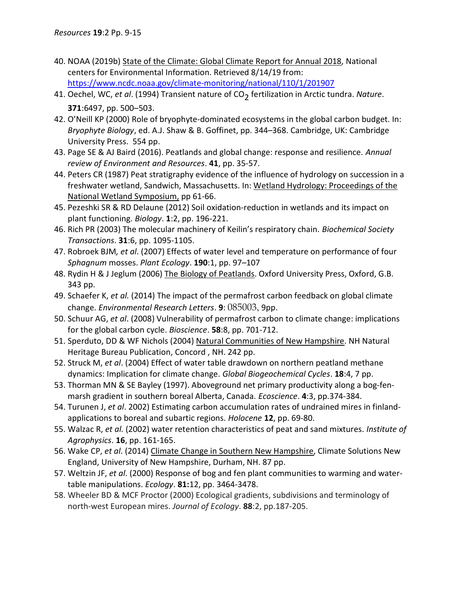- 40. NOAA (2019b) State of the Climate: Global Climate Report for Annual 2018, National centers for Environmental Information. Retrieved 8/14/19 from: https://www.ncdc.noaa.gov/climate-monitoring/national/110/1/201907
- 41. Oechel, WC, et al. (1994) Transient nature of  $CO<sub>2</sub>$  fertilization in Arctic tundra. Nature. 371:6497, pp. 500–503.
- 42. O'Neill KP (2000) Role of bryophyte-dominated ecosystems in the global carbon budget. In: Bryophyte Biology, ed. A.J. Shaw & B. Goffinet, pp. 344–368. Cambridge, UK: Cambridge University Press. 554 pp.
- 43. Page SE & AJ Baird (2016). Peatlands and global change: response and resilience. Annual review of Environment and Resources. 41, pp. 35-57.
- 44. Peters CR (1987) Peat stratigraphy evidence of the influence of hydrology on succession in a freshwater wetland, Sandwich, Massachusetts. In: Wetland Hydrology: Proceedings of the National Wetland Symposium, pp 61-66.
- 45. Pezeshki SR & RD Delaune (2012) Soil oxidation-reduction in wetlands and its impact on plant functioning. Biology. 1:2, pp. 196-221.
- 46. Rich PR (2003) The molecular machinery of Keilin's respiratory chain. Biochemical Society Transactions. 31:6, pp. 1095-1105.
- 47. Robroek BJM, et al. (2007) Effects of water level and temperature on performance of four Sphagnum mosses. Plant Ecology. 190:1, pp. 97-107
- 48. Rydin H & J Jeglum (2006) The Biology of Peatlands. Oxford University Press, Oxford, G.B. 343 pp.
- 49. Schaefer K, et al. (2014) The impact of the permafrost carbon feedback on global climate change. Environmental Research Letters. 9: 085003, 9pp.
- 50. Schuur AG, et al. (2008) Vulnerability of permafrost carbon to climate change: implications for the global carbon cycle. Bioscience. 58:8, pp. 701-712.
- 51. Sperduto, DD & WF Nichols (2004) Natural Communities of New Hampshire. NH Natural Heritage Bureau Publication, Concord , NH. 242 pp.
- 52. Struck M, et al. (2004) Effect of water table drawdown on northern peatland methane dynamics: Implication for climate change. Global Biogeochemical Cycles. 18:4, 7 pp.
- 53. Thorman MN & SE Bayley (1997). Aboveground net primary productivity along a bog-fenmarsh gradient in southern boreal Alberta, Canada. Ecoscience. 4:3, pp.374-384.
- 54. Turunen J, et al. 2002) Estimating carbon accumulation rates of undrained mires in finlandapplications to boreal and subartic regions. Holocene 12, pp. 69-80.
- 55. Walzac R, et al. (2002) water retention characteristics of peat and sand mixtures. Institute of Agrophysics. **16**, pp. 161-165.
- 56. Wake CP, et al. (2014) Climate Change in Southern New Hampshire, Climate Solutions New England, University of New Hampshire, Durham, NH. 87 pp.
- 57. Weltzin JF, et al. (2000) Response of bog and fen plant communities to warming and watertable manipulations. Ecology. 81:12, pp. 3464-3478.
- 58. Wheeler BD & MCF Proctor (2000) Ecological gradients, subdivisions and terminology of north-west European mires. Journal of Ecology. 88:2, pp.187-205.